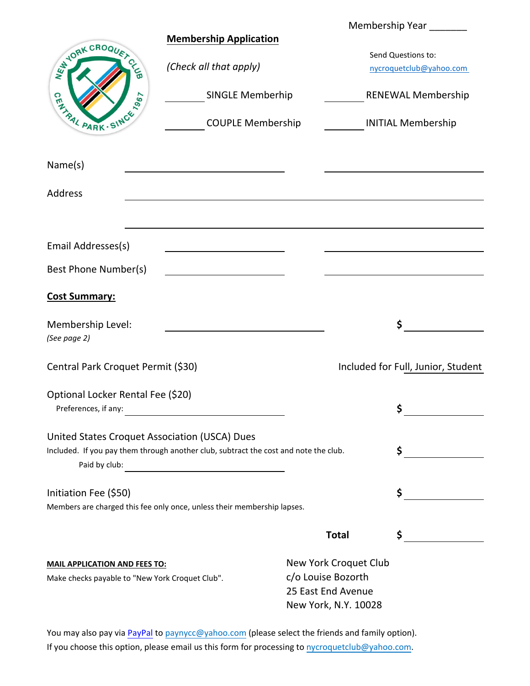|                                                    |                                                                                      |                       | Membership Year ________                      |
|----------------------------------------------------|--------------------------------------------------------------------------------------|-----------------------|-----------------------------------------------|
| WANDRK CROQUET CL<br><b>GATAIL PARK . SINCE 15</b> | <b>Membership Application</b>                                                        |                       |                                               |
|                                                    | (Check all that apply)                                                               |                       | Send Questions to:<br>nycroquetclub@yahoo.com |
|                                                    |                                                                                      |                       |                                               |
|                                                    | <b>SINGLE Memberhip</b>                                                              |                       | <b>RENEWAL Membership</b>                     |
|                                                    | <b>COUPLE Membership</b>                                                             |                       | <b>INITIAL Membership</b>                     |
| Name(s)                                            |                                                                                      |                       |                                               |
| Address                                            |                                                                                      |                       |                                               |
|                                                    |                                                                                      |                       |                                               |
| Email Addresses(s)                                 |                                                                                      |                       |                                               |
| Best Phone Number(s)                               |                                                                                      |                       |                                               |
| <b>Cost Summary:</b>                               |                                                                                      |                       |                                               |
| Membership Level:                                  |                                                                                      |                       | \$                                            |
| (See page 2)                                       |                                                                                      |                       |                                               |
| Central Park Croquet Permit (\$30)                 |                                                                                      |                       | Included for Full, Junior, Student            |
| Optional Locker Rental Fee (\$20)                  |                                                                                      |                       |                                               |
| Preferences, if any:                               |                                                                                      |                       | \$                                            |
| United States Croquet Association (USCA) Dues      |                                                                                      |                       |                                               |
|                                                    | Included. If you pay them through another club, subtract the cost and note the club. |                       | \$                                            |
| Initiation Fee (\$50)                              |                                                                                      |                       | \$                                            |
|                                                    | Members are charged this fee only once, unless their membership lapses.              |                       |                                               |
|                                                    |                                                                                      | <b>Total</b>          | \$                                            |
| <b>MAIL APPLICATION AND FEES TO:</b>               |                                                                                      | New York Croquet Club |                                               |
| Make checks payable to "New York Croquet Club".    |                                                                                      | c/o Louise Bozorth    |                                               |
|                                                    |                                                                                      | 25 East End Avenue    |                                               |
|                                                    |                                                                                      | New York, N.Y. 10028  |                                               |

You may also pay via **[PayPal](https://www.paypal.com/signin)** to paynycc@yahoo.com (please select the friends and family option). If you choose this option, please email us this form for processing to nycroquetclub@yahoo.com.